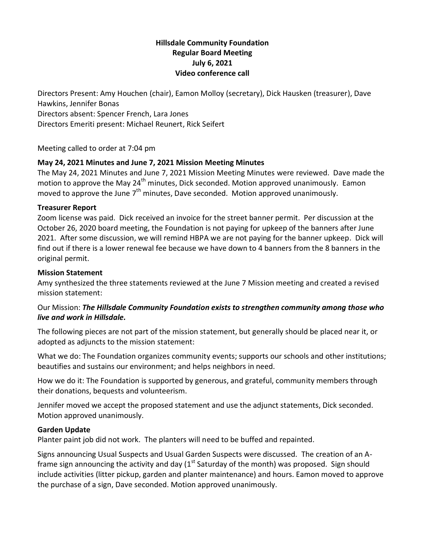# **Hillsdale Community Foundation Regular Board Meeting July 6, 2021 Video conference call**

Directors Present: Amy Houchen (chair), Eamon Molloy (secretary), Dick Hausken (treasurer), Dave Hawkins, Jennifer Bonas Directors absent: Spencer French, Lara Jones Directors Emeriti present: Michael Reunert, Rick Seifert

Meeting called to order at 7:04 pm

# **May 24, 2021 Minutes and June 7, 2021 Mission Meeting Minutes**

The May 24, 2021 Minutes and June 7, 2021 Mission Meeting Minutes were reviewed. Dave made the motion to approve the May 24<sup>th</sup> minutes, Dick seconded. Motion approved unanimously. Eamon moved to approve the June  $7<sup>th</sup>$  minutes, Dave seconded. Motion approved unanimously.

## **Treasurer Report**

Zoom license was paid. Dick received an invoice for the street banner permit. Per discussion at the October 26, 2020 board meeting, the Foundation is not paying for upkeep of the banners after June 2021. After some discussion, we will remind HBPA we are not paying for the banner upkeep. Dick will find out if there is a lower renewal fee because we have down to 4 banners from the 8 banners in the original permit.

## **Mission Statement**

Amy synthesized the three statements reviewed at the June 7 Mission meeting and created a revised mission statement:

# Our Mission: *The Hillsdale Community Foundation exists to strengthen community among those who live and work in Hillsdale.*

The following pieces are not part of the mission statement, but generally should be placed near it, or adopted as adjuncts to the mission statement:

What we do: The Foundation organizes community events; supports our schools and other institutions; beautifies and sustains our environment; and helps neighbors in need.

How we do it: The Foundation is supported by generous, and grateful, community members through their donations, bequests and volunteerism.

Jennifer moved we accept the proposed statement and use the adjunct statements, Dick seconded. Motion approved unanimously.

#### **Garden Update**

Planter paint job did not work. The planters will need to be buffed and repainted.

Signs announcing Usual Suspects and Usual Garden Suspects were discussed. The creation of an Aframe sign announcing the activity and day  $1<sup>st</sup>$  Saturday of the month) was proposed. Sign should include activities (litter pickup, garden and planter maintenance) and hours. Eamon moved to approve the purchase of a sign, Dave seconded. Motion approved unanimously.